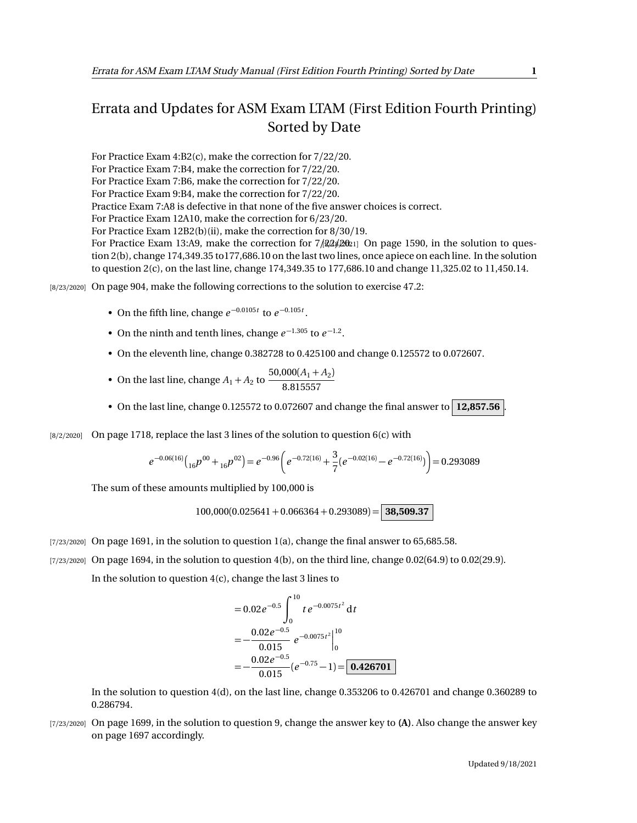## Errata and Updates for ASM Exam LTAM (First Edition Fourth Printing) Sorted by Date

For Practice Exam 4:B2(c), make the correction for 7/22/20. For Practice Exam 7:B4, make the correction for 7/22/20. For Practice Exam 7:B6, make the correction for 7/22/20. For Practice Exam 9:B4, make the correction for 7/22/20. Practice Exam 7:A8 is defective in that none of the five answer choices is correct. For Practice Exam 12A10, make the correction for 6/23/20. For Practice Exam 12B2(b)(ii), make the correction for  $8/30/19$ . For Practice Exam 13:A9, make the correction for  $7/22/2021$  On page 1590, in the solution to question 2(b), change 174,349.35 to177,686.10 on the last two lines, once apiece on each line. In the solution to question 2(c), on the last line, change 174,349.35 to 177,686.10 and change 11,325.02 to 11,450.14.

[8/23/2020] On page 904, make the following corrections to the solution to exercise 47.2:

- On the fifth line, change  $e^{-0.0105t}$  to  $e^{-0.105t}$ .
- On the ninth and tenth lines, change  $e^{-1.305}$  to  $e^{-1.2}$ .
- On the eleventh line, change 0.382728 to 0.425100 and change 0.125572 to 0.072607.
- On the last line, change  $A_1 + A_2$  to  $\frac{50,000(A_1 + A_2)}{8,0.15557}$ 8.815557
- On the last line, change 0.125572 to 0.072607 and change the final answer to **12,857.56** .
- [8/2/2020] On page 1718, replace the last 3 lines of the solution to question 6(c) with

$$
e^{-0.06(16)}\left({_{16}}p^{00}+{}_{16}p^{02}\right)=e^{-0.96}\left(e^{-0.72(16)}+\frac{3}{7}(e^{-0.02(16)}-e^{-0.72(16)})\right)=0.293089
$$

The sum of these amounts multiplied by 100,000 is

$$
100,000(0.025641+0.066364+0.293089) = 38,509.37
$$

- [7/23/2020] On page 1691, in the solution to question 1(a), change the final answer to 65,685.58.
- [7/23/2020] On page 1694, in the solution to question 4(b), on the third line, change 0.02(64.9) to 0.02(29.9).

In the solution to question 4(c), change the last 3 lines to

$$
= 0.02e^{-0.5}\int_0^{10} te^{-0.0075t^2} dt
$$
  
=  $-\frac{0.02e^{-0.5}}{0.015}e^{-0.0075t^2}\Big|_0^{10}$   
=  $-\frac{0.02e^{-0.5}}{0.015}(e^{-0.75}-1)=$  0.426701

In the solution to question 4(d), on the last line, change 0.353206 to 0.426701 and change 0.360289 to 0.286794.

[7/23/2020] On page 1699, in the solution to question 9, change the answer key to **(A)**. Also change the answer key on page 1697 accordingly.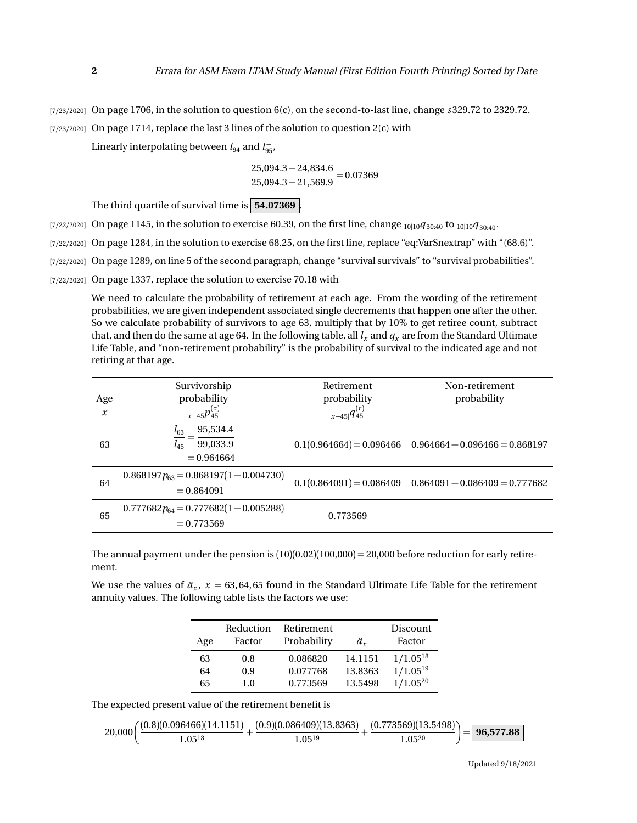[7/23/2020] On page 1706, in the solution to question 6(c), on the second-to-last line, change *s* 329.72 to 2329.72.

 $(7/23/2020)$  On page 1714, replace the last 3 lines of the solution to question  $2(c)$  with

Linearly interpolating between  $l_{94}$  and  $l_{95}^-$ ,

$$
\frac{25,094.3-24,834.6}{25,094.3-21,569.9} = 0.07369
$$

The third quartile of survival time is **54.07369** .

- [7/22/2020] On page 1145, in the solution to exercise 60.39, on the first line, change <sub>10|10</sub> $q_{30:40}$  to <sub>10|10</sub> $q_{30:40}$ .
- [7/22/2020] On page 1284, in the solution to exercise 68.25, on the first line, replace "eq:VarSnextrap" with "(68.6)".
- [7/22/2020] On page 1289, on line 5 of the second paragraph, change "survival survivals" to "survival probabilities".

[7/22/2020] On page 1337, replace the solution to exercise 70.18 with

We need to calculate the probability of retirement at each age. From the wording of the retirement probabilities, we are given independent associated single decrements that happen one after the other. So we calculate probability of survivors to age 63, multiply that by 10% to get retiree count, subtract that, and then do the same at age 64. In the following table, all  $l_x$  and  $q_x$  are from the Standard Ultimate Life Table, and "non-retirement probability" is the probability of survival to the indicated age and not retiring at that age.

| Age              | Survivorship<br>probability                                  | Retirement<br>probability | Non-retirement<br>probability                               |
|------------------|--------------------------------------------------------------|---------------------------|-------------------------------------------------------------|
| $\boldsymbol{x}$ | $x-45p_{45}^{(\tau)}$                                        | $x-45 q_{45}^{(r)}$       |                                                             |
| 63               | 95,534.4<br>$l_{63}$<br>99,033.9<br>$l_{45}$<br>$= 0.964664$ |                           | $0.1(0.964664) = 0.096466$ $0.964664 - 0.096466 = 0.868197$ |
| 64               | $0.868197p_{63} = 0.868197(1 - 0.004730)$<br>$= 0.864091$    |                           | $0.1(0.864091) = 0.086409$ $0.864091 - 0.086409 = 0.777682$ |
| 65               | $0.777682p_{64} = 0.777682(1 - 0.005288)$<br>$= 0.773569$    | 0.773569                  |                                                             |

The annual payment under the pension is  $(10)(0.02)(100,000) = 20,000$  before reduction for early retirement.

We use the values of  $\ddot{a}_x$ ,  $x = 63,64,65$  found in the Standard Ultimate Life Table for the retirement annuity values. The following table lists the factors we use:

| Age | Reduction<br>Factor | Retirement<br>Probability | $\ddot{a}_x$ | Discount<br>Factor |
|-----|---------------------|---------------------------|--------------|--------------------|
| 63  | 0.8                 | 0.086820                  | 14.1151      | $1/1.05^{18}$      |
| 64  | 0.9                 | 0.077768                  | 13.8363      | $1/1.05^{19}$      |
| 65  | 10                  | 0.773569                  | 13.5498      | $1/1.05^{20}$      |

The expected present value of the retirement benefit is

$$
20,000\bigg(\frac{(0.8)(0.096466)(14.1151)}{1.05^{18}} + \frac{(0.9)(0.086409)(13.8363)}{1.05^{19}} + \frac{(0.773569)(13.5498)}{1.05^{20}}\bigg) = \boxed{\textbf{96,577.88}}
$$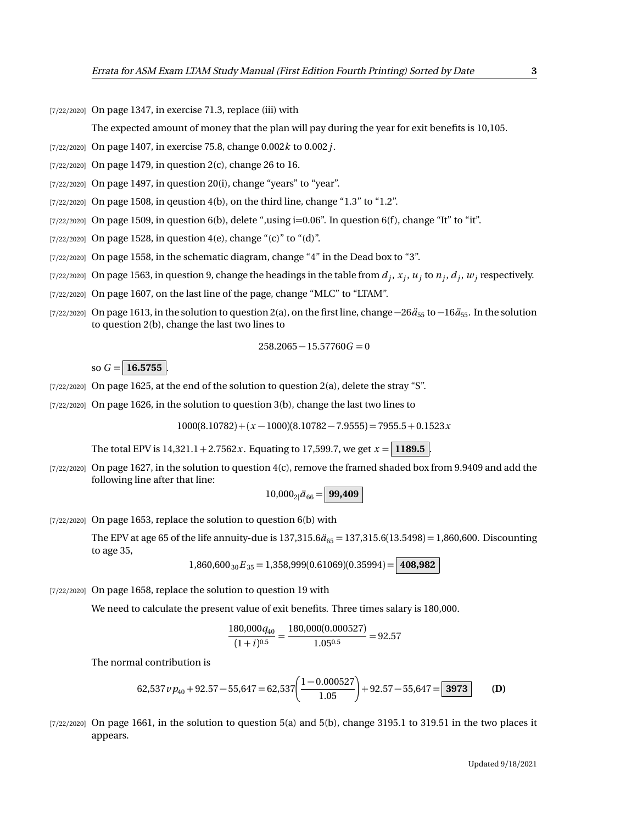$[7/22/2020]$  On page 1347, in exercise 71.3, replace (iii) with

The expected amount of money that the plan will pay during the year for exit benefits is 10,105.

- [7/22/2020] On page 1407, in exercise 75.8, change 0.002*k* to 0.002*j*.
- [7/22/2020] On page 1479, in question 2(c), change 26 to 16.
- $[7/22/2020]$  On page 1497, in question 20(i), change "years" to "year".
- $[7/22/2020]$  On page 1508, in qeustion 4(b), on the third line, change "1.3" to "1.2".
- $[7/22/2020]$  On page 1509, in question 6(b), delete ",using i=0.06". In question 6(f), change "It" to "it".
- $[7/22/2020]$  On page 1528, in question 4(e), change "(c)" to "(d)".
- [7/22/2020] On page 1558, in the schematic diagram, change "4" in the Dead box to "3".
- $_{[7/22/2020]}$  On page 1563, in question 9, change the headings in the table from  $d_j, x_j, u_j$  to  $n_j, d_j, w_j$  respectively.
- [7/22/2020] On page 1607, on the last line of the page, change "MLC" to "LTAM".
- [7/22/2020] On page 1613, in the solution to question 2(a), on the first line, change  $-26\ddot{a}_{55}$  to  $-16\ddot{a}_{55}$ . In the solution to question 2(b), change the last two lines to

$$
258.2065 - 15.57760G = 0
$$

so  $G = 16.5755$ 

- $[7/22/2020]$  On page 1625, at the end of the solution to question 2(a), delete the stray "S".
- $[7/22/2020]$  On page 1626, in the solution to question 3(b), change the last two lines to

 $1000(8.10782) + (x - 1000)(8.10782 - 7.9555) = 7955.5 + 0.1523x$ 

The total EPV is  $14,321.1 + 2.7562x$ . Equating to 17,599.7, we get  $x = 1189.5$ .

[7/22/2020] On page 1627, in the solution to question 4(c), remove the framed shaded box from 9.9409 and add the following line after that line:

$$
10,000_{2}|\ddot{a}_{66}=\boxed{99,409}
$$

[7/22/2020] On page 1653, replace the solution to question 6(b) with

The EPV at age 65 of the life annuity-due is  $137,315.6\ddot{a}_{65} = 137,315.6(13.5498) = 1,860,600$ . Discounting to age 35,

$$
1,860,600_{30}E_{35} = 1,358,999(0.61069)(0.35994) = | 408,982
$$

[7/22/2020] On page 1658, replace the solution to question 19 with

We need to calculate the present value of exit benefits. Three times salary is 180,000.

$$
\frac{180,000q_{40}}{(1+i)^{0.5}} = \frac{180,000(0.000527)}{1.05^{0.5}} = 92.57
$$

The normal contribution is

62,537 
$$
v p_{40} + 92.57 - 55,647 = 62,537 \left( \frac{1 - 0.000527}{1.05} \right) + 92.57 - 55,647 = \boxed{3973}
$$
 (D)

 $[7/22/2020]$  On page 1661, in the solution to question 5(a) and 5(b), change 3195.1 to 319.51 in the two places it appears.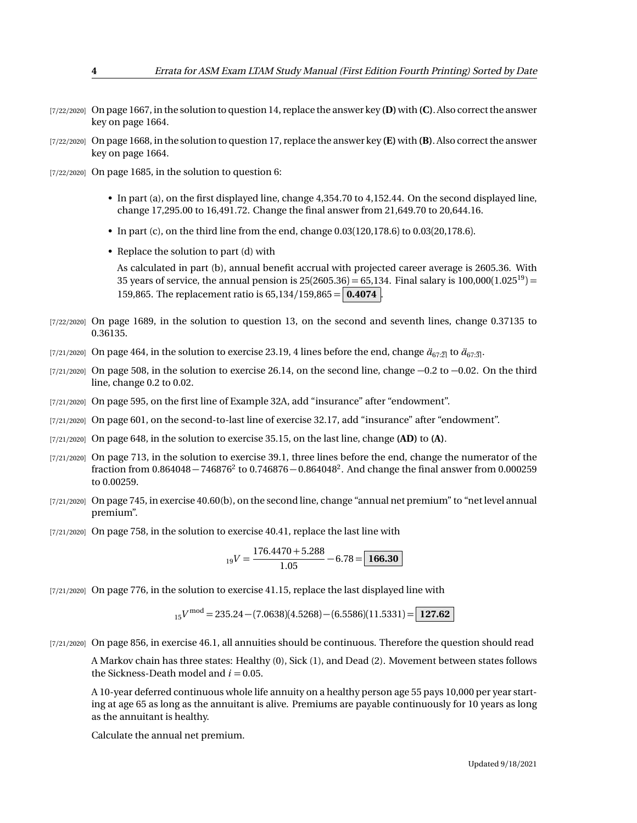- [7/22/2020] On page 1667, in the solution to question 14, replace the answer key **(D)**with **(C)**. Also correct the answer key on page 1664.
- [7/22/2020] On page 1668, in the solution to question 17, replace the answer key **(E)** with **(B)**. Also correct the answer key on page 1664.
- [7/22/2020] On page 1685, in the solution to question 6:
	- In part (a), on the first displayed line, change 4,354.70 to 4,152.44. On the second displayed line, change 17,295.00 to 16,491.72. Change the final answer from 21,649.70 to 20,644.16.
	- In part (c), on the third line from the end, change  $0.03(120,178.6)$  to  $0.03(20,178.6)$ .
	- Replace the solution to part (d) with

As calculated in part (b), annual benefit accrual with projected career average is 2605.36. With 35 years of service, the annual pension is  $25(2605.36) = 65,134$ . Final salary is  $100,000(1.025^{19}) =$ 159,865. The replacement ratio is  $65,134/159,865 = |0.4074|$ .

- [7/22/2020] On page 1689, in the solution to question 13, on the second and seventh lines, change 0.37135 to 0.36135.
- [7/21/2020] On page 464, in the solution to exercise 23.19, 4 lines before the end, change  $\ddot{a}_{67:2}$  to  $\ddot{a}_{67:3}$ .
- [7/21/2020] On page 508, in the solution to exercise 26.14, on the second line, change  $-0.2$  to  $-0.02$ . On the third line, change 0.2 to 0.02.
- [7/21/2020] On page 595, on the first line of Example 32A, add "insurance" after "endowment".
- [7/21/2020] On page 601, on the second-to-last line of exercise 32.17, add "insurance" after "endowment".
- [7/21/2020] On page 648, in the solution to exercise 35.15, on the last line, change **(AD)** to **(A)**.
- [7/21/2020] On page 713, in the solution to exercise 39.1, three lines before the end, change the numerator of the fraction from  $0.864048 - 746876^2$  to  $0.746876 - 0.864048^2$ . And change the final answer from  $0.000259$ to 0.00259.
- [7/21/2020] On page 745, in exercise 40.60(b), on the second line, change "annual net premium" to "net level annual premium".
- [7/21/2020] On page 758, in the solution to exercise 40.41, replace the last line with

$$
_{19}V = \frac{176.4470 + 5.288}{1.05} - 6.78 = \boxed{166.30}
$$

[7/21/2020] On page 776, in the solution to exercise 41.15, replace the last displayed line with

$$
{}_{15}V^{\text{mod}} = 235.24 - (7.0638)(4.5268) - (6.5586)(11.5331) = \boxed{127.62}
$$

[7/21/2020] On page 856, in exercise 46.1, all annuities should be continuous. Therefore the question should read

A Markov chain has three states: Healthy (0), Sick (1), and Dead (2). Movement between states follows the Sickness-Death model and  $i = 0.05$ .

A 10-year deferred continuous whole life annuity on a healthy person age 55 pays 10,000 per year starting at age 65 as long as the annuitant is alive. Premiums are payable continuously for 10 years as long as the annuitant is healthy.

Calculate the annual net premium.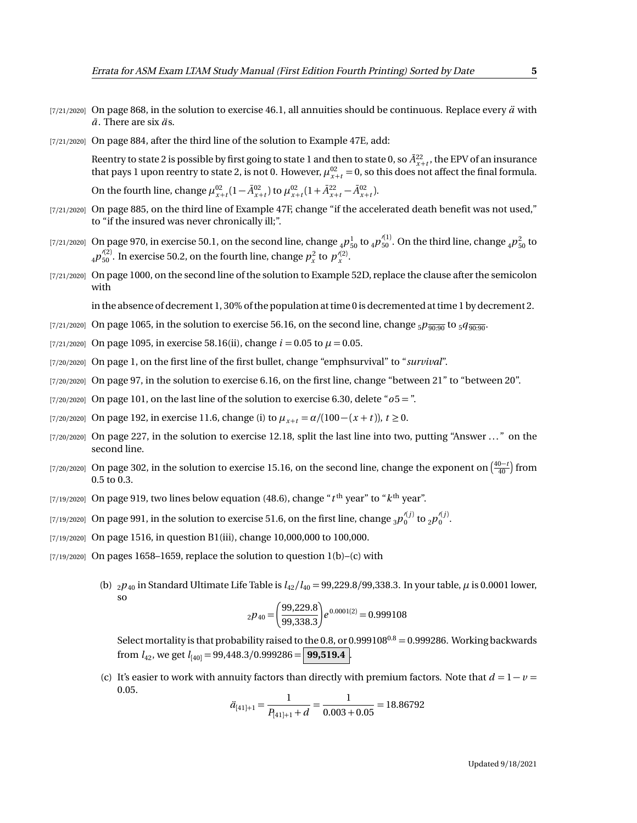- $[7/21/2020]$  On page 868, in the solution to exercise 46.1, all annuities should be continuous. Replace every  $\ddot{a}$  with  $\overline{a}$ . There are six  $\overline{a}$ s.
- [7/21/2020] On page 884, after the third line of the solution to Example 47E, add:

Reentry to state 2 is possible by first going to state 1 and then to state 0, so  $\bar{A}^{22}_{x+t}$ , the EPV of an insurance that pays 1 upon reentry to state 2, is not 0. However,  $\mu_{x+t}^{02} = 0$ , so this does not affect the final formula. On the fourth line, change  $\mu_{x+t}^{02} (1 - \bar{A}_{x+t}^{02})$  to  $\mu_{x+t}^{02} (1 + \bar{A}_{x+t}^{22} - \bar{A}_{x+t}^{02})$ .

- [7/21/2020] On page 885, on the third line of Example 47F, change "if the accelerated death benefit was not used," to "if the insured was never chronically ill;".
- [7/21/2020] On page 970, in exercise 50.1, on the second line, change  $_4P_{50}^1$  to  $_4p_{50}^{\prime(1)}$ . On the third line, change  $_4p_{50}^2$  to  $_4p_{50}^{\prime(2)}$ . In exercise 50.2, on the fourth line, change  $p_x^2$  to  $p_x^{\prime(2)}$ .
- [7/21/2020] On page 1000, on the second line of the solution to Example 52D, replace the clause after the semicolon with

in the absence of decrement 1, 30% of the population at time 0 is decremented at time 1 by decrement 2.

- [7/21/2020] On page 1065, in the solution to exercise 56.16, on the second line, change  $5p_{\overline{90:90}}$  to  $5q_{\overline{90:90}}$ .
- [7/21/2020] On page 1095, in exercise 58.16(ii), change  $i = 0.05$  to  $\mu = 0.05$ .
- [7/20/2020] On page 1, on the first line of the first bullet, change "emphsurvival" to "*survival*".
- [7/20/2020] On page 97, in the solution to exercise 6.16, on the first line, change "between 21" to "between 20".
- [7/20/2020] On page 101, on the last line of the solution to exercise 6.30, delete "*o*5 = ".
- [7/20/2020] On page 192, in exercise 11.6, change (i) to  $\mu_{x+t} = \alpha/(100 (x + t))$ ,  $t ≥ 0$ .
- $[7/20/2020]$  On page 227, in the solution to exercise 12.18, split the last line into two, putting "Answer  $\dots$ " on the second line.
- [7/20/2020] On page 302, in the solution to exercise 15.16, on the second line, change the exponent on  $\left(\frac{40-t}{40}\right)$  from 0.5 to 0.3.
- $_{\left[7/19/2020\right]}$  On page 919, two lines below equation (48.6), change " $t^{\rm th}$  year" to " $k^{\rm th}$  year".
- [7/19/2020] On page 991, in the solution to exercise 51.6, on the first line, change  $_3p_0^{\prime(j)}$  to  $_2p_0^{\prime(j)}$ .
- [7/19/2020] On page 1516, in question B1(iii), change 10,000,000 to 100,000.
- $[7/19/2020]$  On pages 1658–1659, replace the solution to question 1(b)–(c) with
	- (b)  $_2p_{40}$  in Standard Ultimate Life Table is  $l_{42}/l_{40} = 99,229.8/99,338.3$ . In your table,  $\mu$  is 0.0001 lower, so

$$
_{2}p_{40} = \left(\frac{99,229.8}{99,338.3}\right) e^{0.0001(2)} = 0.999108
$$

Select mortality is that probability raised to the 0.8, or 0.999108<sup>0.8</sup> = 0.999286. Working backwards from  $l_{42}$ , we get  $l_{[40]} = 99,448.3/0.999286 =$  **99,519.4** 

(c) It's easier to work with annuity factors than directly with premium factors. Note that  $d = 1 - v =$ 0.05.

$$
\ddot{a}_{[41]+1} = \frac{1}{P_{[41]+1} + d} = \frac{1}{0.003 + 0.05} = 18.86792
$$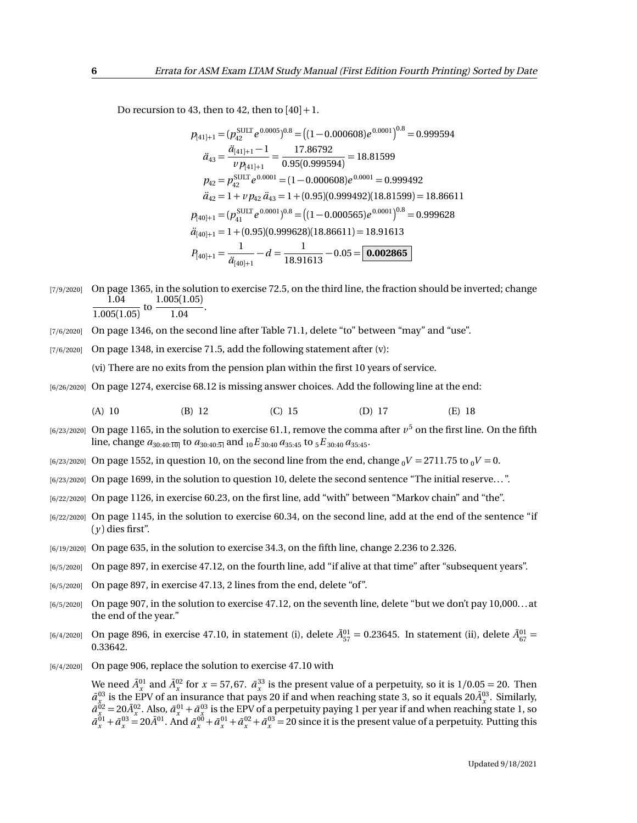Do recursion to 43, then to 42, then to  $[40]+1$ .

$$
p_{[41]+1} = (p_{42}^{\text{SULT}} e^{0.0005})^{0.8} = ((1 - 0.000608)e^{0.0001})^{0.8} = 0.999594
$$
  
\n
$$
\ddot{a}_{43} = \frac{\ddot{a}_{[41]+1} - 1}{\nu p_{[41]+1}} = \frac{17.86792}{0.95(0.999594)} = 18.81599
$$
  
\n
$$
p_{42} = p_{42}^{\text{SULT}} e^{0.0001} = (1 - 0.000608)e^{0.0001} = 0.999492
$$
  
\n
$$
\ddot{a}_{42} = 1 + \nu p_{42} \ddot{a}_{43} = 1 + (0.95)(0.999492)(18.81599) = 18.86611
$$
  
\n
$$
p_{[40]+1} = (p_{41}^{\text{SULT}} e^{0.0001})^{0.8} = ((1 - 0.000565)e^{0.0001})^{0.8} = 0.999628
$$
  
\n
$$
\ddot{a}_{[40]+1} = 1 + (0.95)(0.999628)(18.86611) = 18.91613
$$
  
\n
$$
P_{[40]+1} = \frac{1}{\ddot{a}_{[40]+1}} - d = \frac{1}{18.91613} - 0.05 = 0.002865
$$

- [7/9/2020] On page 1365, in the solution to exercise 72.5, on the third line, the fraction should be inverted; change 1.04  $\frac{1.04}{1.005(1.05)}$  to  $\frac{1.005(1.05)}{1.04}$  $\frac{1.04}{1.04}$ .
- [7/6/2020] On page 1346, on the second line after Table 71.1, delete "to" between "may" and "use".

[7/6/2020] On page 1348, in exercise 71.5, add the following statement after (v):

(vi) There are no exits from the pension plan within the first 10 years of service.

[6/26/2020] On page 1274, exercise 68.12 is missing answer choices. Add the following line at the end:

(A) 10 (B) 12 (C) 15 (D) 17 (E) 18

- $_{[6/23/2020]}$  On page 1165, in the solution to exercise 61.1, remove the comma after  $v^5$  on the first line. On the fifth line, change  $a_{30:40:\overline{10|}}$  to  $a_{30:40:\overline{5|}}$  and  $_{10}E_{30:40}a_{35:45}$  to  $_{5}E_{30:40}a_{35:45}$ .
- $[6/23/2020]$  On page 1552, in question 10, on the second line from the end, change  $_0V = 2711.75$  to  $_0V = 0$ .
- [6/23/2020] On page 1699, in the solution to question 10, delete the second sentence "The initial reserve. . . ".
- [6/22/2020] On page 1126, in exercise 60.23, on the first line, add "with" between "Markov chain" and "the".
- [6/22/2020] On page 1145, in the solution to exercise 60.34, on the second line, add at the end of the sentence "if  $(y)$  dies first".
- [6/19/2020] On page 635, in the solution to exercise 34.3, on the fifth line, change 2.236 to 2.326.
- [6/5/2020] On page 897, in exercise 47.12, on the fourth line, add "if alive at that time" after "subsequent years".
- [6/5/2020] On page 897, in exercise 47.13, 2 lines from the end, delete "of".
- $[6/5/2020]$  On page 907, in the solution to exercise 47.12, on the seventh line, delete "but we don't pay 10,000...at the end of the year."
- $_{[6/4/2020]}$  On page 896, in exercise 47.10, in statement (i), delete  $\bar{A}_{57}^{01} = 0.23645$ . In statement (ii), delete  $\bar{A}_{67}^{01} =$ 0.33642.
- [6/4/2020] On page 906, replace the solution to exercise 47.10 with

We need  $\bar{A}^{01}_x$  and  $\bar{A}^{02}_x$  for  $x = 57,67$ .  $\bar{a}^{33}_x$  is the present value of a perpetuity, so it is  $1/0.05 = 20$ . Then  $\bar{a}^{03}_{x_0}$  is the EPV of an insurance that pays 20 if and when reaching state 3, so it equals 20 $\bar{A}^{03}_x$ . Similarly,  $\bar{a}^{02}_{x} = 20 \bar{A}^{02}_{x}$ . Also,  $\bar{a}^{01}_{x} + \bar{a}^{03}_{x}$  is the EPV of a perpetuity paying 1 per year if and when reaching state 1, so  $\bar{a}^{01}_x + \bar{a}^{03}_x = 20 \bar{A}^{01}$ . And  $\bar{a}^{00}_x + \bar{a}^{01}_x + \bar{a}^{02}_x + \bar{a}^{03}_x = 20$  since it is the present value of a perpetuity. Putting this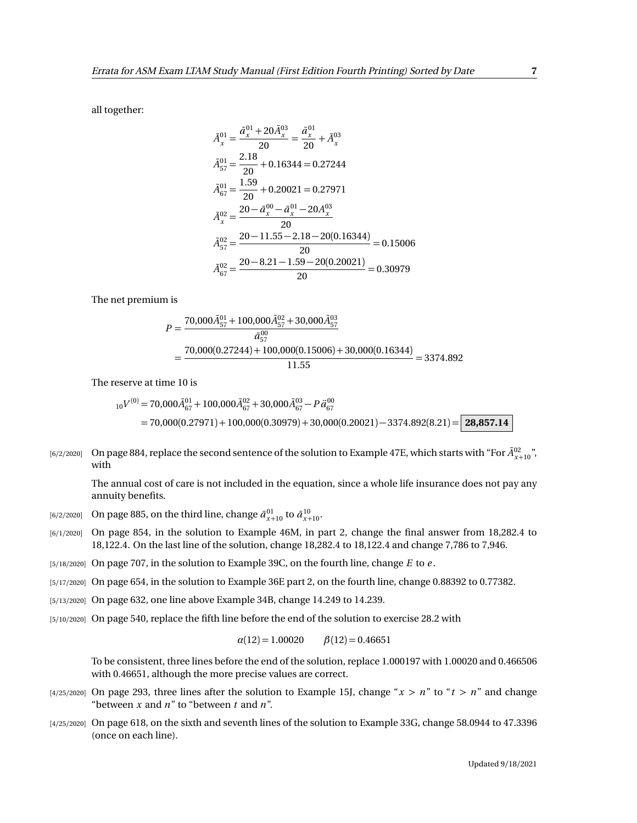all together:

$$
\bar{A}_{x}^{01} = \frac{\bar{a}_{x}^{01} + 20\bar{A}_{x}^{03}}{20} = \frac{\bar{a}_{x}^{01}}{20} + \bar{A}_{x}^{03}
$$
\n
$$
\bar{A}_{57}^{01} = \frac{2.18}{20} + 0.16344 = 0.27244
$$
\n
$$
\bar{A}_{67}^{01} = \frac{1.59}{20} + 0.20021 = 0.27971
$$
\n
$$
\bar{A}_{x}^{02} = \frac{20 - \bar{a}_{x}^{00} - \bar{a}_{x}^{01} - 20A_{x}^{03}}{20}
$$
\n
$$
\bar{A}_{57}^{02} = \frac{20 - 11.55 - 2.18 - 20(0.16344)}{20} = 0.15006
$$
\n
$$
\bar{A}_{67}^{02} = \frac{20 - 8.21 - 1.59 - 20(0.20021)}{20} = 0.30979
$$

The net premium is

$$
P = \frac{70,000\overline{A}_{57}^{01} + 100,000\overline{A}_{57}^{02} + 30,000\overline{A}_{57}^{03}}{\overline{a}_{57}^{00}}
$$
  
= 
$$
\frac{70,000(0.27244) + 100,000(0.15006) + 30,000(0.16344)}{11.55} = 3374.892
$$

The reserve at time 10 is

$$
{}_{10}V^{(0)} = 70,000\bar{A}_{67}^{01} + 100,000\bar{A}_{67}^{02} + 30,000\bar{A}_{67}^{03} - P\ddot{a}_{67}^{00}
$$
  
= 70,000(0.27971) + 100,000(0.30979) + 30,000(0.20021) - 3374.892(8.21) = 28,857.14

[6/2/2020] On page 884, replace the second sentence of the solution to Example 47E, which starts with "For  $\bar{A}^{02}_{x+10}$ ", with

The annual cost of care is not included in the equation, since a whole life insurance does not pay any annuity benefits.

- $\bar{a}^{(6/2/2020)}$  On page 885, on the third line, change  $\bar{a}^{01}_{x+10}$  to  $\bar{a}^{10}_{x+10}$ .
- [6/1/2020] On page 854, in the solution to Example 46M, in part 2, change the final answer from 18,282.4 to 18,122.4. On the last line of the solution, change 18,282.4 to 18,122.4 and change 7,786 to 7,946.
- [5/18/2020] On page 707, in the solution to Example 39C, on the fourth line, change *E* to *e* .
- [5/17/2020] On page 654, in the solution to Example 36E part 2, on the fourth line, change 0.88392 to 0.77382.
- [5/13/2020] On page 632, one line above Example 34B, change 14.249 to 14.239.
- [5/10/2020] On page 540, replace the fifth line before the end of the solution to exercise 28.2 with

$$
\alpha(12) = 1.00020 \qquad \beta(12) = 0.46651
$$

To be consistent, three lines before the end of the solution, replace 1.000197 with 1.00020 and 0.466506 with 0.46651, although the more precise values are correct.

- [4/25/2020] On page 293, three lines after the solution to Example 15J, change " $x > n$ " to " $t > n$ " and change "between *x* and *n*" to "between *t* and *n*".
- [4/25/2020] On page 618, on the sixth and seventh lines of the solution to Example 33G, change 58.0944 to 47.3396 (once on each line).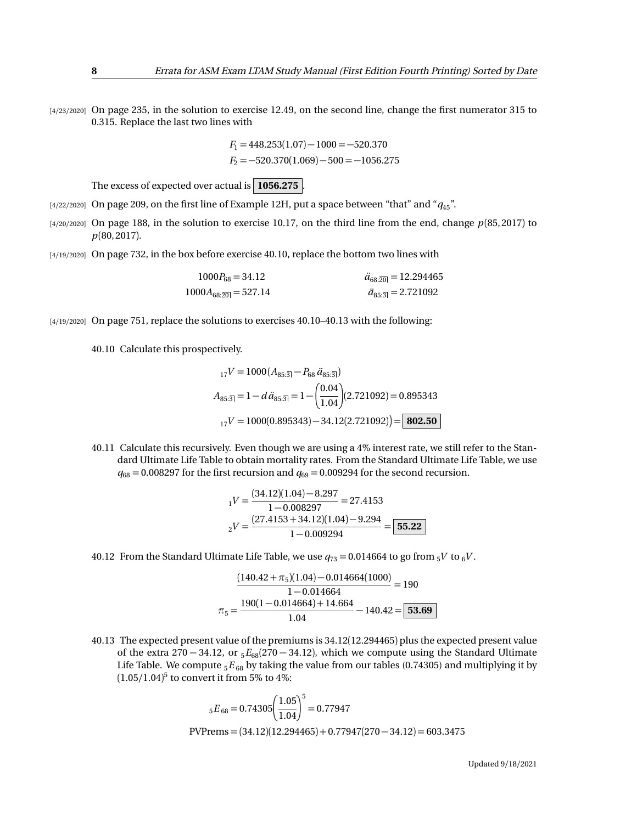[4/23/2020] On page 235, in the solution to exercise 12.49, on the second line, change the first numerator 315 to 0.315. Replace the last two lines with

$$
F_1 = 448.253(1.07) - 1000 = -520.370
$$
  

$$
F_2 = -520.370(1.069) - 500 = -1056.275
$$

The excess of expected over actual is  $\vert$  1056.275  $\vert$ 

- [4/22/2020] On page 209, on the first line of Example 12H, put a space between "that" and "*q*45".
- [4/20/2020] On page 188, in the solution to exercise 10.17, on the third line from the end, change *p*(85, 2017) to *p*(80, 2017).
- [4/19/2020] On page 732, in the box before exercise 40.10, replace the bottom two lines with

| $1000P_{68} = 34.12$     | $\ddot{a}_{68:20} = 12.294465$              |
|--------------------------|---------------------------------------------|
| $1000A_{68:20} = 527.14$ | $\ddot{a}_{85\cdot\overline{3}} = 2.721092$ |

[4/19/2020] On page 751, replace the solutions to exercises 40.10–40.13 with the following:

40.10 Calculate this prospectively.

$$
{}_{17}V = 1000 (A_{85:\overline{3}}) - P_{68} \ddot{a}_{85:\overline{3}})
$$
  
\n
$$
A_{85:\overline{3}} = 1 - d \ddot{a}_{85:\overline{3}} = 1 - \left(\frac{0.04}{1.04}\right) (2.721092) = 0.895343
$$
  
\n
$$
{}_{17}V = 1000(0.895343) - 34.12(2.721092) = 802.50
$$

40.11 Calculate this recursively. Even though we are using a 4% interest rate, we still refer to the Standard Ultimate Life Table to obtain mortality rates. From the Standard Ultimate Life Table, we use  $q_{68} = 0.008297$  for the first recursion and  $q_{69} = 0.009294$  for the second recursion.

$$
_1V = \frac{(34.12)(1.04) - 8.297}{1 - 0.008297} = 27.4153
$$

$$
_2V = \frac{(27.4153 + 34.12)(1.04) - 9.294}{1 - 0.009294} = \boxed{55.22}
$$

40.12 From the Standard Ultimate Life Table, we use  $q_{73} = 0.014664$  to go from  $5V$  to  $6V$ .

$$
\frac{(140.42 + \pi_5)(1.04) - 0.014664(1000)}{1 - 0.014664} = 190
$$

$$
\pi_5 = \frac{190(1 - 0.014664) + 14.664}{1.04} - 140.42 = \boxed{53.69}
$$

40.13 The expected present value of the premiums is 34.12(12.294465) plus the expected present value of the extra 270 − 34.12, or <sup>5</sup>*E*68(270 − 34.12), which we compute using the Standard Ultimate Life Table. We compute <sub>5</sub> $E_{68}$  by taking the value from our tables (0.74305) and multiplying it by (1.05*/*1.04) 5 to convert it from 5% to 4%:

$$
{}_{5}E_{68} = 0.74305 \left(\frac{1.05}{1.04}\right)^{5} = 0.77947
$$
  
PVPrems = (34.12)(12.294465) + 0.77947(270 - 34.12) = 603.3475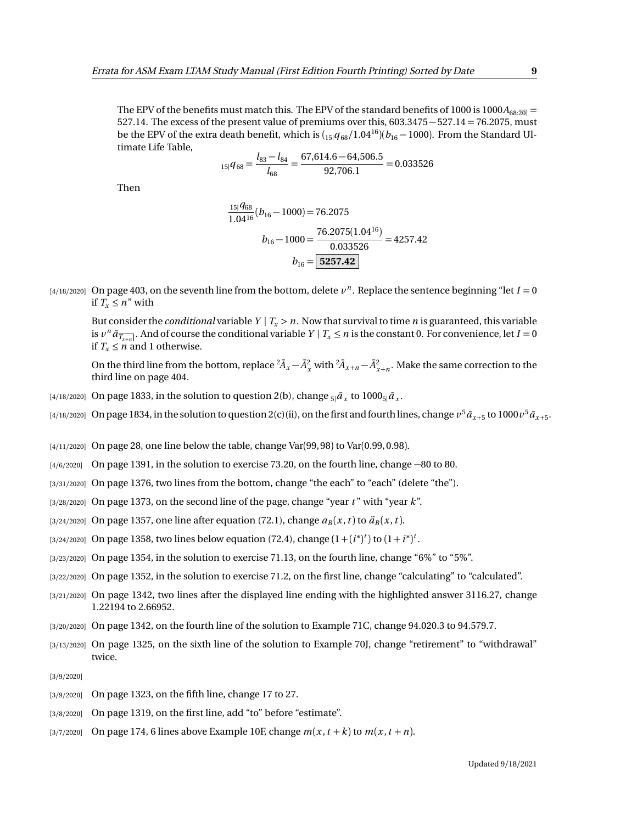The EPV of the benefits must match this. The EPV of the standard benefits of 1000 is 1000 $A_{68:20}$  = 527.14. The excess of the present value of premiums over this, 603.3475−527.14 = 76.2075, must be the EPV of the extra death benefit, which is  $\left(15|q_{68}/1.04^{16}\right)\left(b_{16}-1000\right)$ . From the Standard Ultimate Life Table,

$$
{}_{15|}q_{68} = \frac{l_{83} - l_{84}}{l_{68}} = \frac{67,614.6 - 64,506.5}{92,706.1} = 0.033526
$$

Then

$$
\frac{15|q_{68}}{1.04^{16}}(b_{16} - 1000) = 76.2075
$$

$$
b_{16} - 1000 = \frac{76.2075(1.04^{16})}{0.033526} = 4257.42
$$

$$
b_{16} = \boxed{5257.42}
$$

 $(4/18/2020]$  On page 403, on the seventh line from the bottom, delete  $v^n$ . Replace the sentence beginning "let  $I = 0$ if  $T_r \leq n$ " with

But consider the *conditional* variable  $Y | T_x > n$ . Now that survival to time *n* is guaranteed, this variable is  $v^n \bar{a}_{\overline{T_{x+n}}}$ . And of course the conditional variable  $Y | T_x \le n$  is the constant 0. For convenience, let  $I = 0$ if  $T_x \leq n$  and 1 otherwise.

On the third line from the bottom, replace  ${}^2\bar{A}_x - \bar{A}_x^2$  with  ${}^2\bar{A}_{x+n} - \bar{A}_{x+n}^2$ . Make the same correction to the third line on page 404.

- [4/18/2020] On page 1833, in the solution to question 2(b), change  $_{5|}\bar{a}_{x}$  to 1000 $_{5|}\bar{a}_{x}.$
- $_{[4/18/2020]}$  On page 1834, in the solution to question 2(c)(ii), on the first and fourth lines, change  $v^5\bar a_{x+5}$  to 1000  $v^5\bar a_{x+5}$ .
- [4/11/2020] On page 28, one line below the table, change Var(99, 98) to Var(0.99, 0.98).
- [4/6/2020] On page 1391, in the solution to exercise 73.20, on the fourth line, change −80 to 80.
- [3/31/2020] On page 1376, two lines from the bottom, change "the each" to "each" (delete "the").
- [3/28/2020] On page 1373, on the second line of the page, change "year *t* " with "year *k*".
- [3/24/2020] On page 1357, one line after equation (72.1), change  $a_B(x, t)$  to  $\ddot{a}_B(x, t)$ .
- [3/24/2020] On page 1358, two lines below equation (72.4), change  $(1 + (i^*)^t)$  to  $(1 + i^*)^t$ .
- [3/23/2020] On page 1354, in the solution to exercise 71.13, on the fourth line, change "6%" to "5%".
- [3/22/2020] On page 1352, in the solution to exercise 71.2, on the first line, change "calculating" to "calculated".
- [3/21/2020] On page 1342, two lines after the displayed line ending with the highlighted answer 3116.27, change 1.22194 to 2.66952.
- [3/20/2020] On page 1342, on the fourth line of the solution to Example 71C, change 94.020.3 to 94.579.7.
- [3/13/2020] On page 1325, on the sixth line of the solution to Example 70J, change "retirement" to "withdrawal" twice.
- [3/9/2020]
- [3/9/2020] On page 1323, on the fifth line, change 17 to 27.
- [3/8/2020] On page 1319, on the first line, add "to" before "estimate".
- $[3/7/2020]$  On page 174, 6 lines above Example 10F, change  $m(x, t + k)$  to  $m(x, t + n)$ .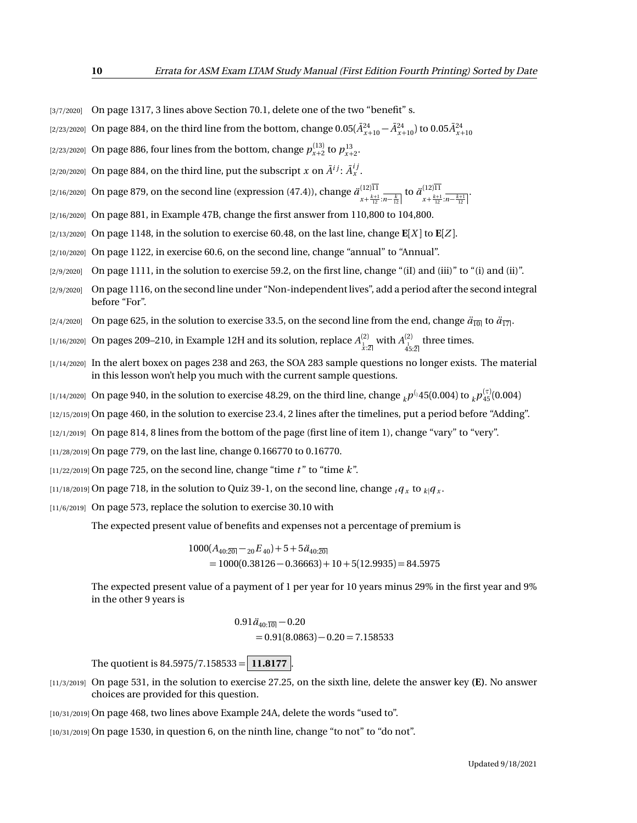- [3/7/2020] On page 1317, 3 lines above Section 70.1, delete one of the two "benefit" s.
- $(2/23/2020]$  On page 884, on the third line from the bottom, change  $0.05(\bar{A}^{24}_{x+10}-\bar{A}^{24}_{x+10})$  to  $0.05\bar{A}^{24}_{x+10}$
- [2/23/2020] On page 886, four lines from the bottom, change  $p_{x+2}^{(13)}$  to  $p_{x+2}^{13}$ .
- [2/20/2020] On page 884, on the third line, put the subscript  $x$  on  $\tilde{A}^{ij}$ :  $\tilde{A}^{ij}_x$  .
- [2/16/2020] On page 879, on the second line (expression (47.4)), change *a*¨ (12)11  $\frac{(12)11}{x + \frac{k+1}{12} \cdot n - \frac{k}{12}}$  to  $\frac{\ddot{a}^{(12)11}}{x + \frac{k+1}{12}}$  $x+\frac{k+1}{12}$ : $\overline{n-\frac{k+1}{12}}$
- [2/16/2020] On page 881, in Example 47B, change the first answer from 110,800 to 104,800.
- $\lbrack 2/13/2020\rbrack$  On page 1148, in the solution to exercise 60.48, on the last line, change  $\mathbf{E}[X]$  to  $\mathbf{E}[Z]$ .
- [2/10/2020] On page 1122, in exercise 60.6, on the second line, change "annual" to "Annual".
- $[2/9/2020]$  On page 1111, in the solution to exercise 59.2, on the first line, change "(iI) and (iii)" to "(i) and (iii)".
- [2/9/2020] On page 1116, on the second line under "Non-independent lives", add a period after the second integral before "For".
- [2/4/2020] On page 625, in the solution to exercise 33.5, on the second line from the end, change  $\ddot{a}_{\overline{10}}$  to  $\ddot{a}_{\overline{17}}$ .
- [1/16/2020] On pages 209–210, in Example 12H and its solution, replace  $A^{(2)}_{\frac{1}{x}:\overline{2}|}$  with  $A^{(2)}_{\frac{4}{3}:\overline{2}|}$  three times.
- [1/14/2020] In the alert boxex on pages 238 and 263, the SOA 283 sample questions no longer exists. The material in this lesson won't help you much with the current sample questions.
- $_{[1/14/2020]}$  On page 940, in the solution to exercise 48.29, on the third line, change  $_{k}p^{(_{1}45(0.004)\text{ to }}_{k}p^{(\tau)}_{45}(0.004)$
- [12/15/2019] On page 460, in the solution to exercise 23.4, 2 lines after the timelines, put a period before "Adding".
- [12/1/2019] On page 814, 8 lines from the bottom of the page (first line of item 1), change "vary" to "very".
- [11/28/2019] On page 779, on the last line, change 0.166770 to 0.16770.
- [11/22/2019] On page 725, on the second line, change "time *t* " to "time *k*".
- $_{[11/18/2019]}$  On page 718, in the solution to Quiz 39-1, on the second line, change  $_{t}q_{_{X}}$  to  $_{k|}q_{_{X}}$ .
- $[11/6/2019]$  On page 573, replace the solution to exercise 30.10 with

The expected present value of benefits and expenses not a percentage of premium is

 $1000(A_{40:20} - 20E_{40}) + 5 + 5\ddot{a}_{40:20}$  $= 1000(0.38126 - 0.36663) + 10 + 5(12.9935) = 84.5975$ 

The expected present value of a payment of 1 per year for 10 years minus 29% in the first year and 9% in the other 9 years is

$$
0.91 \ddot{a}_{40:\overline{10}} - 0.20
$$
  
= 0.91(8.0863) - 0.20 = 7.158533

The quotient is 84.5975*/*7.158533 = **11.8177** .

- [11/3/2019] On page 531, in the solution to exercise 27.25, on the sixth line, delete the answer key **(E)**. No answer choices are provided for this question.
- [10/31/2019] On page 468, two lines above Example 24A, delete the words "used to".
- [10/31/2019] On page 1530, in question 6, on the ninth line, change "to not" to "do not".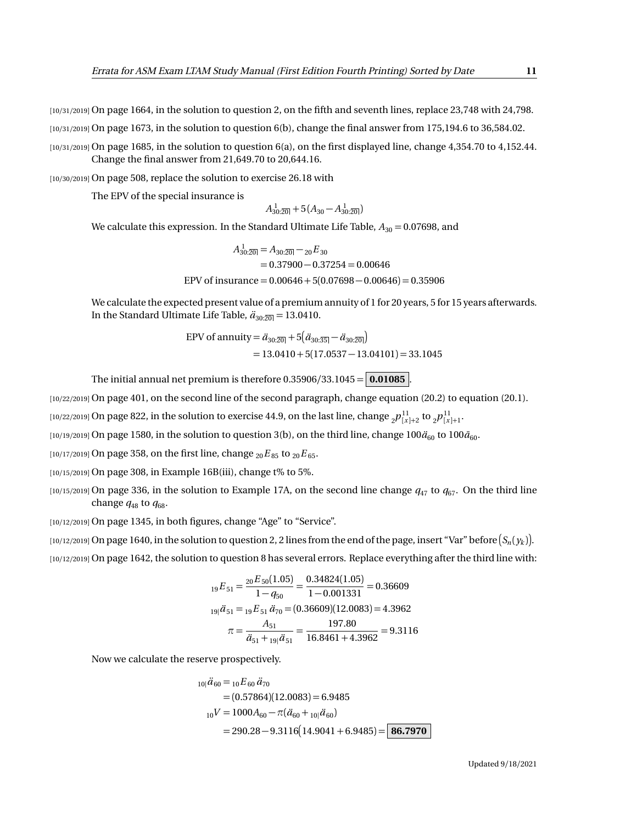[10/31/2019] On page 1664, in the solution to question 2, on the fifth and seventh lines, replace 23,748 with 24,798.

 $[10/31/2019]$  On page 1673, in the solution to question 6(b), change the final answer from 175,194.6 to 36,584.02.

[10/31/2019] On page 1685, in the solution to question 6(a), on the first displayed line, change 4,354.70 to 4,152.44. Change the final answer from 21,649.70 to 20,644.16.

[10/30/2019] On page 508, replace the solution to exercise 26.18 with

The EPV of the special insurance is

$$
A_{30:201}^{1} + 5(A_{30} - A_{30:201}^{1})
$$

We calculate this expression. In the Standard Ultimate Life Table,  $A_{30} = 0.07698$ , and

$$
A_{30:20}^{1} = A_{30:20} - 20E_{30}
$$
  
= 0.37900 - 0.37254 = 0.00646  
EPV of insurance = 0.00646 + 5(0.07698 - 0.00646) = 0.35906

We calculate the expected present value of a premium annuity of 1 for 20 years, 5 for 15 years afterwards. In the Standard Ultimate Life Table,  $\ddot{a}_{30:\overline{20}} = 13.0410$ .

$$
\text{EPV of annuity} = \ddot{a}_{30:\overline{20}} + 5(\ddot{a}_{30:\overline{35}} - \ddot{a}_{30:\overline{20}})
$$
  
= 13.0410 + 5(17.0537 - 13.04101) = 33.1045

The initial annual net premium is therefore  $0.35906/33.1045 = 0.01085$ .

[10/22/2019] On page 401, on the second line of the second paragraph, change equation (20.2) to equation (20.1).

 $_{[10/22/2019]}$  On page 822, in the solution to exercise 44.9, on the last line, change  $_{2}p_{[x]+2}^{11}$  to  $_{2}p_{[x]+1}^{11}$ .

 $(10/19/2019)$  On page 1580, in the solution to question 3(b), on the third line, change  $100\ddot{a}_{60}$  to  $100\ddot{a}_{60}$ .

 $[10/17/2019]$  On page 358, on the first line, change  ${}_{20}E_{85}$  to  ${}_{20}E_{65}$ .

[10/15/2019] On page 308, in Example 16B(iii), change t% to 5%.

 $(10/15/2019)$  On page 336, in the solution to Example 17A, on the second line change  $q_{47}$  to  $q_{67}$ . On the third line change  $q_{48}$  to  $q_{68}$ .

[10/12/2019] On page 1345, in both figures, change "Age" to "Service".

 $_1$ 10/12/2019] On page 1640, in the solution to question 2, 2 lines from the end of the page, insert "Var" before  $(S_n(y_k)].$ 

[10/12/2019] On page 1642, the solution to question 8 has several errors. Replace everything after the third line with:

$$
{}_{19}E_{51} = \frac{{}_{20}E_{50}(1.05)}{1 - q_{50}} = \frac{0.34824(1.05)}{1 - 0.001331} = 0.36609
$$
  

$$
{}_{19}i\ddot{a}_{51} = {}_{19}E_{51}\ddot{a}_{70} = (0.36609)(12.0083) = 4.3962
$$
  

$$
\pi = \frac{A_{51}}{\ddot{a}_{51} + {}_{19}i\ddot{a}_{51}} = \frac{197.80}{16.8461 + 4.3962} = 9.3116
$$

Now we calculate the reserve prospectively.

$$
{}_{10|}\ddot{a}_{60} = {}_{10}E_{60}\ddot{a}_{70}
$$
  
= (0.57864)(12.0083) = 6.9485  

$$
{}_{10}V = 1000A_{60} - \pi(\ddot{a}_{60} + {}_{10}|\ddot{a}_{60})
$$
  
= 290.28 - 9.3116(14.9041 + 6.9485) = 86.7970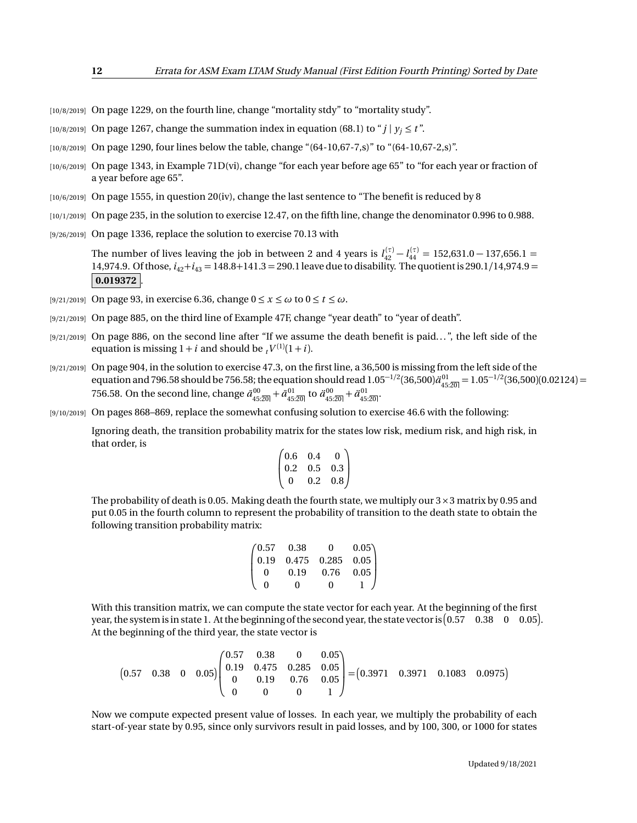- [10/8/2019] On page 1229, on the fourth line, change "mortality stdy" to "mortality study".
- [10/8/2019] On page 1267, change the summation index in equation (68.1) to " $j \mid y_j \le t$ ".
- [10/8/2019] On page 1290, four lines below the table, change "(64-10,67-7,s)" to "(64-10,67-2,s)".
- [10/6/2019] On page 1343, in Example 71D(vi), change "for each year before age 65" to "for each year or fraction of a year before age 65".
- [10/6/2019] On page 1555, in question 20(iv), change the last sentence to "The benefit is reduced by 8
- [10/1/2019] On page 235, in the solution to exercise 12.47, on the fifth line, change the denominator 0.996 to 0.988.
- [9/26/2019] On page 1336, replace the solution to exercise 70.13 with

The number of lives leaving the job in between 2 and 4 years is  $l_{42}^{(\tau)} - l_{44}^{(\tau)} = 152{,}631.0 - 137{,}656.1 =$ 14,974.9. Of those, *i*42+*i*<sup>43</sup> = 148.8+141.3 = 290.1 leave due to disability. The quotient is 290.1*/*14,974.9 =  $|0.019372|$ 

- [9/21/2019] On page 93, in exercise 6.36, change  $0 \le x \le \omega$  to  $0 \le t \le \omega$ .
- [9/21/2019] On page 885, on the third line of Example 47F, change "year death" to "year of death".
- [9/21/2019] On page 886, on the second line after "If we assume the death benefit is paid...", the left side of the equation is missing  $1 + i$  and should be  $t^{V^{(1)}(1+i)}$ .
- [9/21/2019] On page 904, in the solution to exercise 47.3, on the first line, a 36,500 is missing from the left side of the equation and 796.58 should be 756.58; the equation should read  $1.05^{-1/2}(36,500) \ddot{a}_{45:20}^{01} = 1.05^{-1/2}(36,500) (0.02124) =$ 756.58. On the second line, change  $\bar{a}_{45:20]}^{00} + \bar{a}_{45:20]}^{01}$  to  $\ddot{a}_{45:20]}^{00} + \ddot{a}_{45:20}^{01}$ .
- [9/10/2019] On pages 868–869, replace the somewhat confusing solution to exercise 46.6 with the following:

Ignoring death, the transition probability matrix for the states low risk, medium risk, and high risk, in that order, is

$$
\begin{pmatrix} 0.6 & 0.4 & 0 \\ 0.2 & 0.5 & 0.3 \\ 0 & 0.2 & 0.8 \end{pmatrix}
$$

The probability of death is 0.05. Making death the fourth state, we multiply our  $3 \times 3$  matrix by 0.95 and put 0.05 in the fourth column to represent the probability of transition to the death state to obtain the following transition probability matrix:

$$
\begin{pmatrix} 0.57 & 0.38 & 0 & 0.05 \\ 0.19 & 0.475 & 0.285 & 0.05 \\ 0 & 0.19 & 0.76 & 0.05 \\ 0 & 0 & 0 & 1 \end{pmatrix}
$$

With this transition matrix, we can compute the state vector for each year. At the beginning of the first year, the system is in state 1. At the beginning of the second year, the state vector is  $(0.57 \quad 0.38 \quad 0 \quad 0.05)$ . At the beginning of the third year, the state vector is

$$
\begin{bmatrix} 0.57 & 0.38 & 0 & 0.05 \end{bmatrix} \begin{pmatrix} 0.57 & 0.38 & 0 & 0.05 \\ 0.19 & 0.475 & 0.285 & 0.05 \\ 0 & 0.19 & 0.76 & 0.05 \\ 0 & 0 & 0 & 1 \end{pmatrix} = \begin{pmatrix} 0.3971 & 0.3971 & 0.1083 & 0.0975 \end{pmatrix}
$$

Now we compute expected present value of losses. In each year, we multiply the probability of each start-of-year state by 0.95, since only survivors result in paid losses, and by 100, 300, or 1000 for states